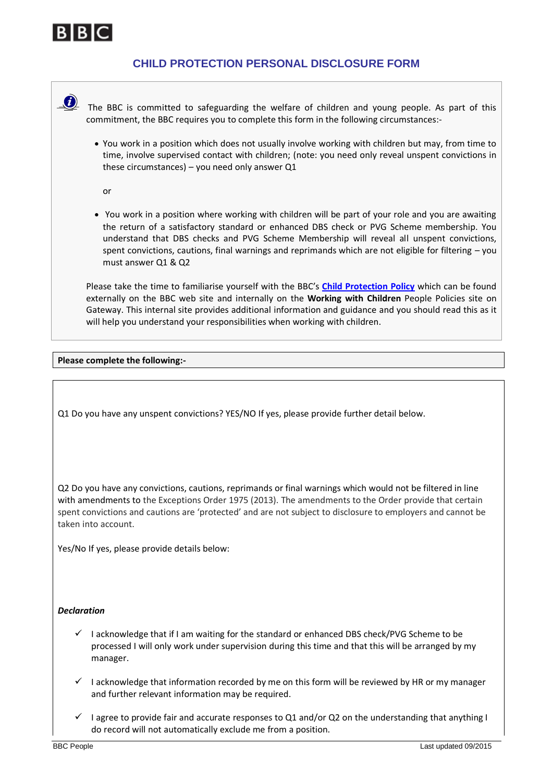

## **CHILD PROTECTION PERSONAL DISCLOSURE FORM**



 $\triangle$  The BBC is committed to safeguarding the welfare of children and young people. As part of this commitment, the BBC requires you to complete this form in the following circumstances:-

• You work in a position which does not usually involve working with children but may, from time to time, involve supervised contact with children; (note: you need only reveal unspent convictions in these circumstances) – you need only answer Q1

or

• You work in a position where working with children will be part of your role and you are awaiting the return of a satisfactory standard or enhanced DBS check or PVG Scheme membership. You understand that DBS checks and PVG Scheme Membership will reveal all unspent convictions, spent convictions, cautions, final warnings and reprimands which are not eligible for filtering – you must answer Q1 & Q2

Please take the time to familiarise yourself with the BBC's **[Child Protection Policy](http://www.bbc.co.uk/aboutthebbc/insidethebbc/howwework/policiesandguidelines/child_protection.html)** which can be found externally on the BBC web site and internally on the **Working with Children** People Policies site on Gateway. This internal site provides additional information and guidance and you should read this as it will help you understand your responsibilities when working with children.

## **Please complete the following:-**

Q1 Do you have any unspent convictions? YES/NO If yes, please provide further detail below.

Q2 Do you have any convictions, cautions, reprimands or final warnings which would not be filtered in line with amendments to the Exceptions Order 1975 (2013). The amendments to the Order provide that certain spent convictions and cautions are 'protected' and are not subject to disclosure to employers and cannot be taken into account.

Yes/No If yes, please provide details below:

## *Declaration*

- $\checkmark$  I acknowledge that if I am waiting for the standard or enhanced DBS check/PVG Scheme to be processed I will only work under supervision during this time and that this will be arranged by my manager.
- $\checkmark$  I acknowledge that information recorded by me on this form will be reviewed by HR or my manager and further relevant information may be required.
- I agree to provide fair and accurate responses to Q1 and/or Q2 on the understanding that anything I do record will not automatically exclude me from a position.